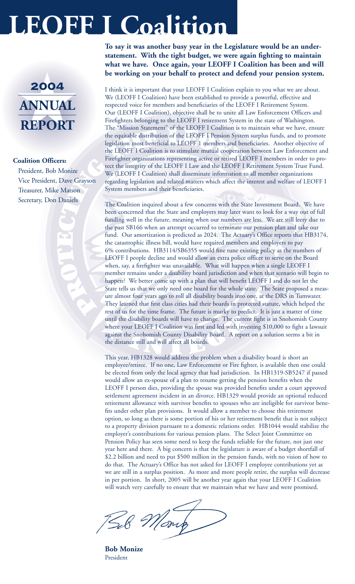# **LEOFF I Coalition**

### 2004<br>ANNUAL<br>REPORT 2004 **ANNUAL REPORT**

#### **Coalition Officers:**

President, Bob Monize Vice President, Dave Grayson Treasurer, Mike Matson Secretary, Don Daniels

**To say it was another busy year in the Legislature would be an understatement. With the tight budget, we were again fighting to maintain what we have. Once again, your LEOFF I Coalition has been and will be working on your behalf to protect and defend your pension system.** 

I think it is important that your LEOFF I Coalition explain to you what we are about. We (LEOFF I Coalition) have been established to provide a powerful, effective and respected voice for members and beneficiaries of the LEOFF I Retirement System. Our (LEOFF I Coalition), objective shall be to unite all Law Enforcement Officers and Firefighters belonging to the LEOFF I retirement System in the state of Washington. The "Mission Statement" of the LEOFF I Coalition is to maintain what we have, ensure the equitable distribution of the LEOFF I Pension System surplus funds, and to promote legislation most beneficial to LEOFF 1 members and beneficiaries. Another objective of the LEOFF I Coalition is to stimulate mutual cooperation between Law Enforcement and Firefighter organizations representing active or retired LEOFF I members in order to protect the integrity of the LEOFF I Law and the LEOFF I Retirement System Trust Fund. We (LEOFF I Coalition) shall disseminate information to all member organizations regarding legislation and related matters which affect the interest and welfare of LEOFF I System members and their beneficiaries.

The Coalition inquired about a few concerns with the State Investment Board. We have been concerned that the State and employers may later want to look for a way out of full funding well in the future, meaning when our numbers are less. We are still leery due to the past SB166 when an attempt occurred to terminate our pension plan and take our fund. Our amortization is predicted as 2024. The Actuary's Office reports that HB3174, the catastrophic illness bill, would have required members and employers to pay 6% contributions. HB3114/SB6355 would fine tune existing policy as the numbers of LEOFF I people decline and would allow an extra police officer to serve on the Board when, say, a firefighter was unavailable. What will happen when a single LEOFF I member remains under a disability board jurisdiction and when that scenario will begin to happen? We better come up with a plan that will benefit LEOFF I and do not let the State tells us that we only need one board for the whole state. The State proposed a measure almost four years ago to roll all disability boards into one, at the DRS in Tumwater. They learned that first class cities had their boards in protected statute, which helped the rest of us for the time frame. The future is murky to predict. It is just a matter of time until the disability boards will have to change. The current fight is in Snohomish County where your LEOFF I Coalition was first and led with investing \$10,000 to fight a lawsuit against the Snohomish County Disability Board. A report on a solution seems a bit in the distance still and will affect all boards.

This year, HB1328 would address the problem when a disability board is short an employee/retiree. If no one, Law Enforcement or Fire fighter, is available then one could be elected from only the local agency that had jurisdiction. In HB1319-SB5247 if passed would allow an ex-spouse of a plan to resume getting the pension benefits when the LEOFF I person dies, providing the spouse was provided benefits under a court approved settlement agreement incident in an divorce. HB1329 would provide an optional reduced retirement allowance with survivor benefits to spouses who are ineligible for survivor benefits under other plan provisions. It would allow a member to choose this retirement option, so long as there is some portion of his or her retirement benefit that is not subject to a property division pursuant to a domestic relations order. HB1044 would stabilize the employer's contributions for various pension plans. The Select Joint Committee on Pension Policy has seen some need to keep the funds reliable for the future, not just one year here and there. A big concern is that the legislature is aware of a budget shortfall of \$2.2 billion and need to put \$500 million in the pension funds, with no vision of how to do that. The Actuary's Office has not asked for LEOFF I employee contributions yet as we are still in a surplus position. As more and more people retire, the surplus will decrease in per portion. In short, 2005 will be another year again that your LEOFF I Coalition will watch very carefully to ensure that we maintain what we have and were promised.

Dut

**Bob Monize** President